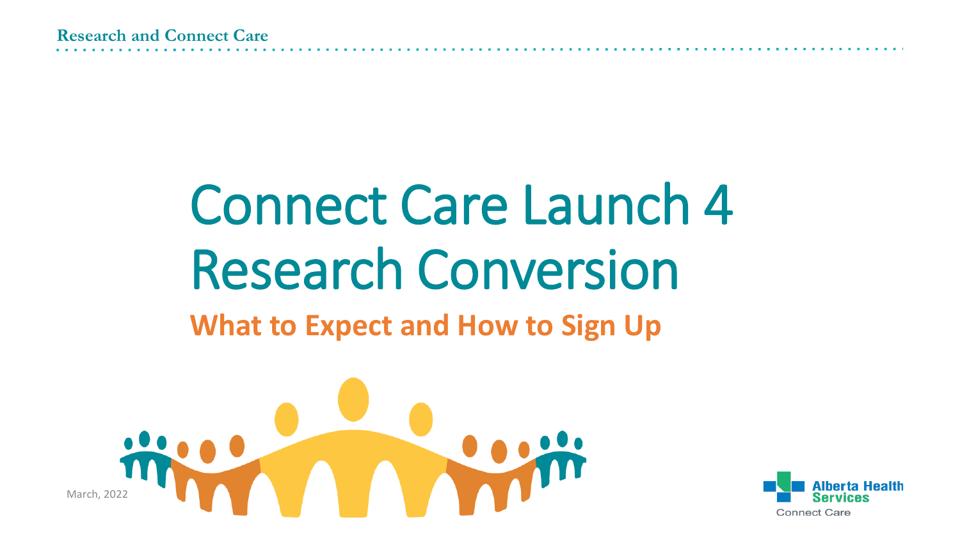# Connect Care Launch 4 Research Conversion

### **What to Expect and How to Sign Up**



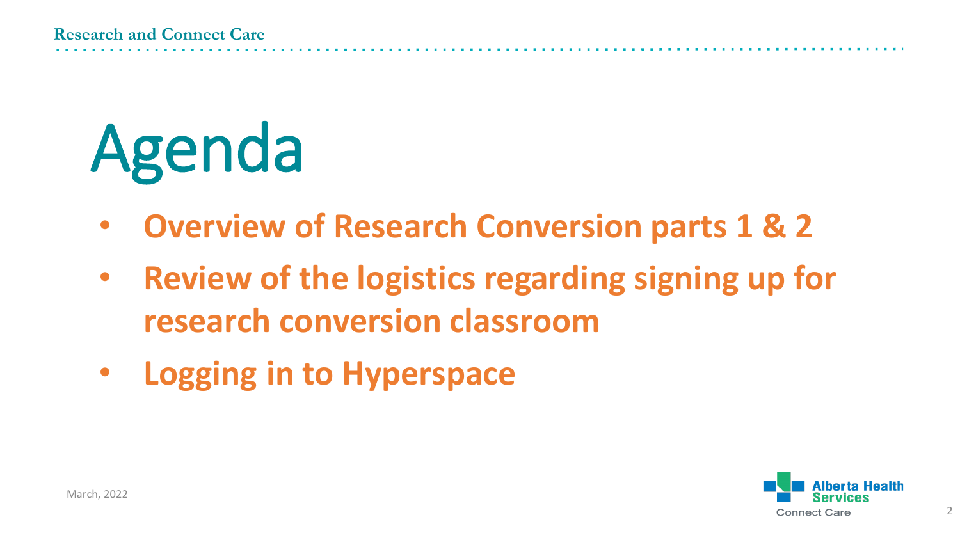# Agenda

- **Overview of Research Conversion parts 1 & 2**
- **Review of the logistics regarding signing up for research conversion classroom**
- **Logging in to Hyperspace**



2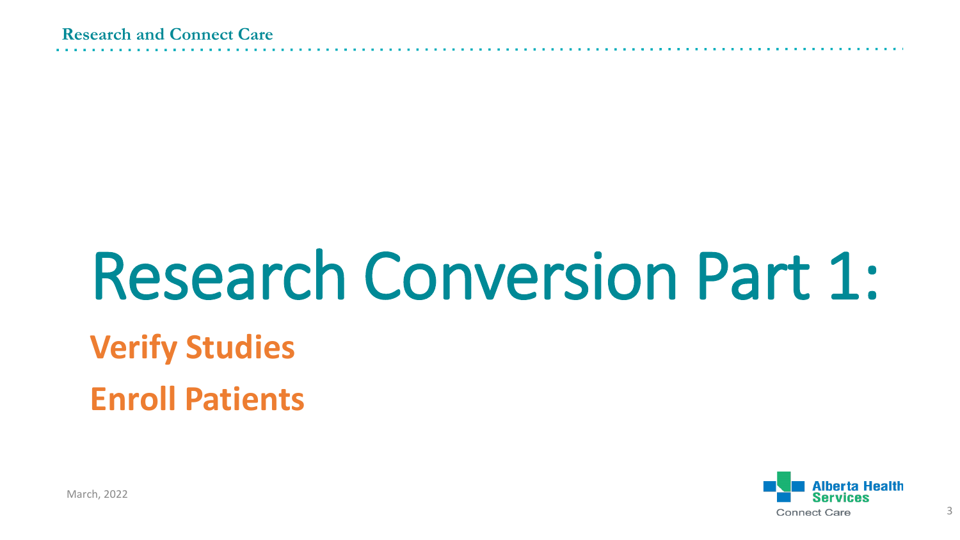# Research Conversion Part 1:

## **Verify Studies**

**Enroll Patients**



March, 2022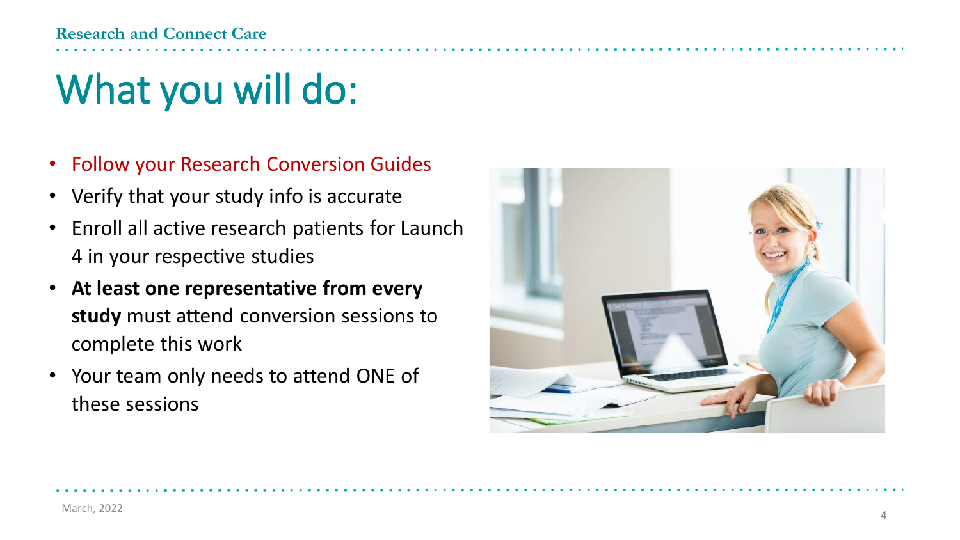# What you will do:

- Follow your Research Conversion Guides
- Verify that your study info is accurate
- Enroll all active research patients for Launch 4 in your respective studies
- **At least one representative from every study** must attend conversion sessions to complete this work
- Your team only needs to attend ONE of these sessions

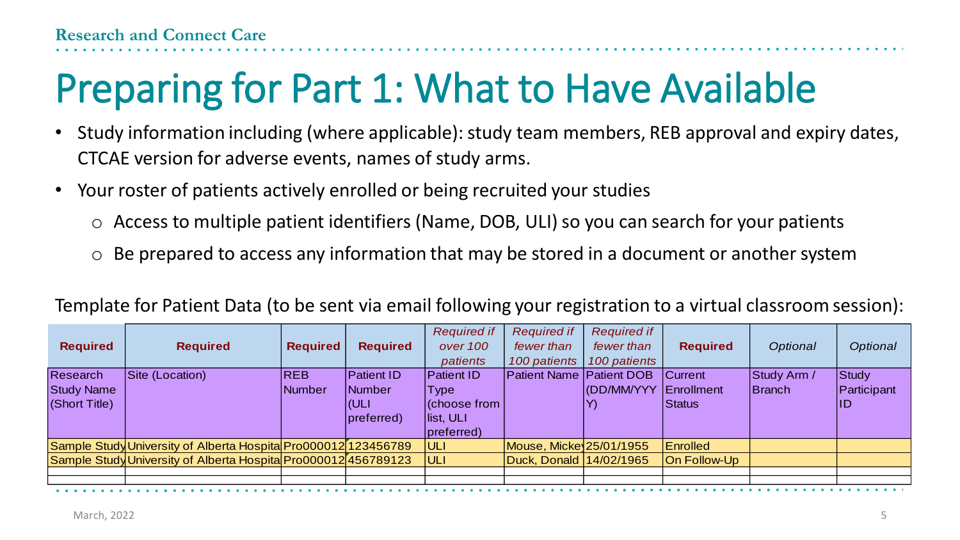# Preparing for Part 1: What to Have Available

- Study information including (where applicable): study team members, REB approval and expiry dates, CTCAE version for adverse events, names of study arms.
- Your roster of patients actively enrolled or being recruited your studies
	- o Access to multiple patient identifiers (Name, DOB, ULI) so you can search for your patients
	- $\circ$  Be prepared to access any information that may be stored in a document or another system

|                   |                                                                |                 |                   | <b>Required if</b> | <b>Required if</b>              | <b>Required if</b>    |                 |             |                |
|-------------------|----------------------------------------------------------------|-----------------|-------------------|--------------------|---------------------------------|-----------------------|-----------------|-------------|----------------|
| <b>Required</b>   | <b>Required</b>                                                | <b>Required</b> | <b>Required</b>   | over 100           | fewer than                      | fewer than            | <b>Required</b> | Optional    | Optional       |
|                   |                                                                |                 |                   | patients           | 100 patients                    | 100 patients          |                 |             |                |
| <b>Research</b>   | Site (Location)                                                | <b>REB</b>      | <b>Patient ID</b> | <b>Patient ID</b>  | <b>Patient Name Patient DOB</b> |                       | <b>Current</b>  | Study Arm / | <b>Study</b>   |
| <b>Study Name</b> |                                                                | Number          | Number            | <b>Type</b>        |                                 | (DD/MM/YYY Enrollment |                 | Branch      | Participant    |
| (Short Title)     |                                                                |                 | (ULI              | (choose from)      |                                 |                       | Status          |             | $\overline{1}$ |
|                   |                                                                |                 | preferred)        | llist, ULI         |                                 |                       |                 |             |                |
|                   |                                                                |                 |                   | preferred)         |                                 |                       |                 |             |                |
|                   | Sample Study University of Alberta Hospita Pro000012 123456789 |                 |                   | ULI                | Mouse, Micke 25/01/1955         |                       | Enrolled        |             |                |
|                   | Sample Study University of Alberta Hospita Pro000012 456789123 |                 |                   | ULI                | Duck, Donald 14/02/1965         |                       | On Follow-Up    |             |                |
|                   |                                                                |                 |                   |                    |                                 |                       |                 |             |                |
|                   |                                                                |                 |                   |                    |                                 |                       |                 |             |                |

#### Template for Patient Data (to be sent via email following your registration to a virtual classroom session):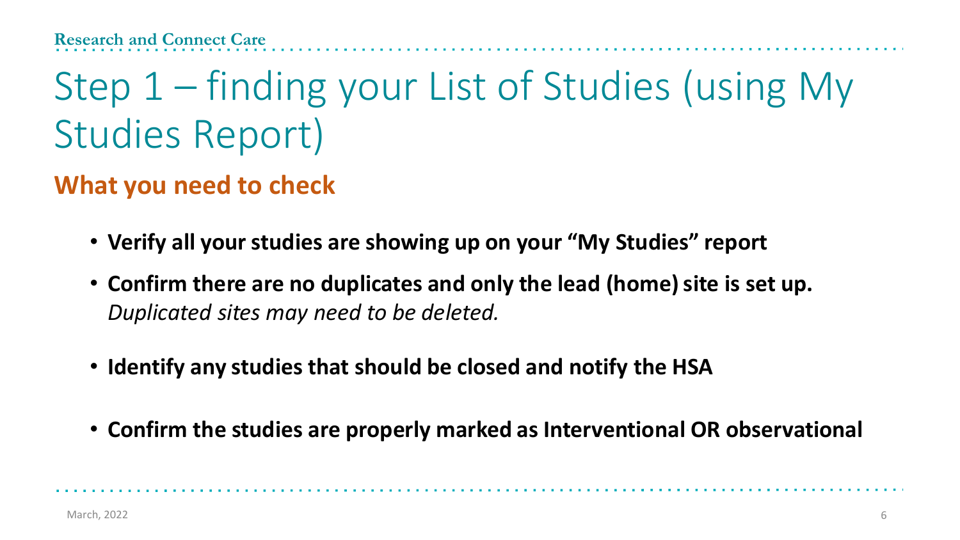# Step 1 – finding your List of Studies (using My Studies Report)

### **What you need to check**

- **Verify all your studies are showing up on your "My Studies" report**
- **Confirm there are no duplicates and only the lead (home) site is set up.**  *Duplicated sites may need to be deleted.*
- **Identify any studies that should be closed and notify the HSA**
- **Confirm the studies are properly marked as Interventional OR observational**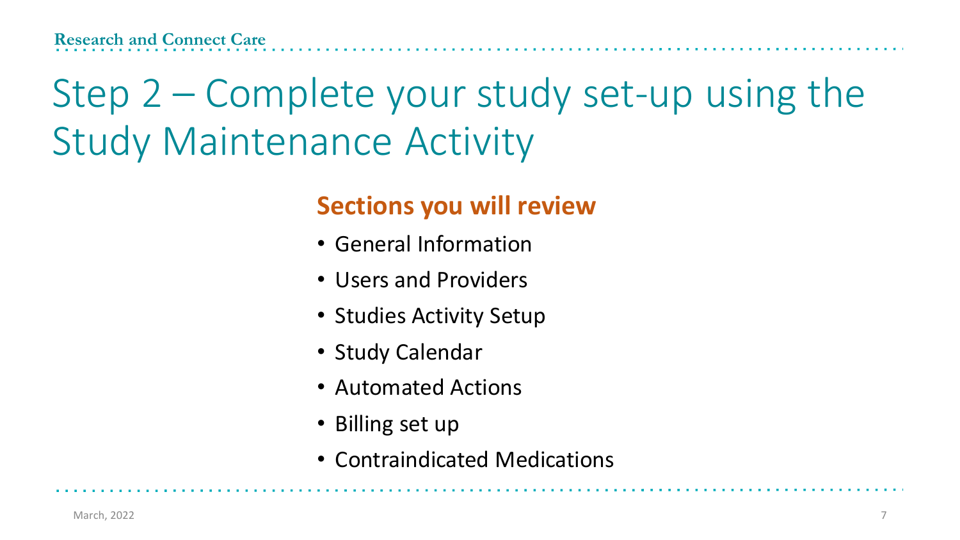# Step 2 – Complete your study set-up using the Study Maintenance Activity

### **Sections you will review**

- General Information
- Users and Providers
- Studies Activity Setup
- Study Calendar
- Automated Actions
- Billing set up
- Contraindicated Medications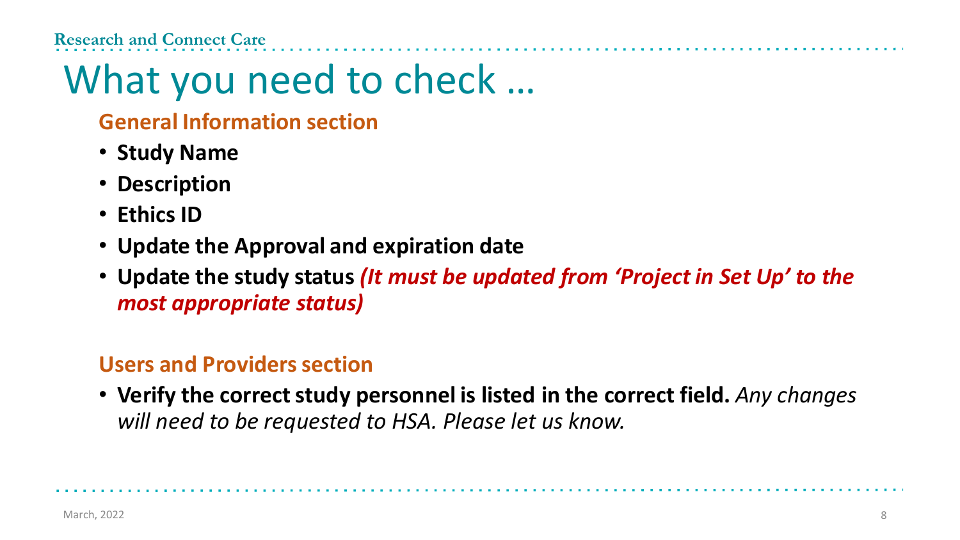#### **Research and Connect Care**

# What you need to check …

#### **General Information section**

- **Study Name**
- **Description**
- **Ethics ID**
- **Update the Approval and expiration date**
- **Update the study status** *(It must be updated from 'Project in Set Up' to the most appropriate status)*

#### **Users and Providers section**

• **Verify the correct study personnel is listed in the correct field.** *Any changes will need to be requested to HSA. Please let us know.*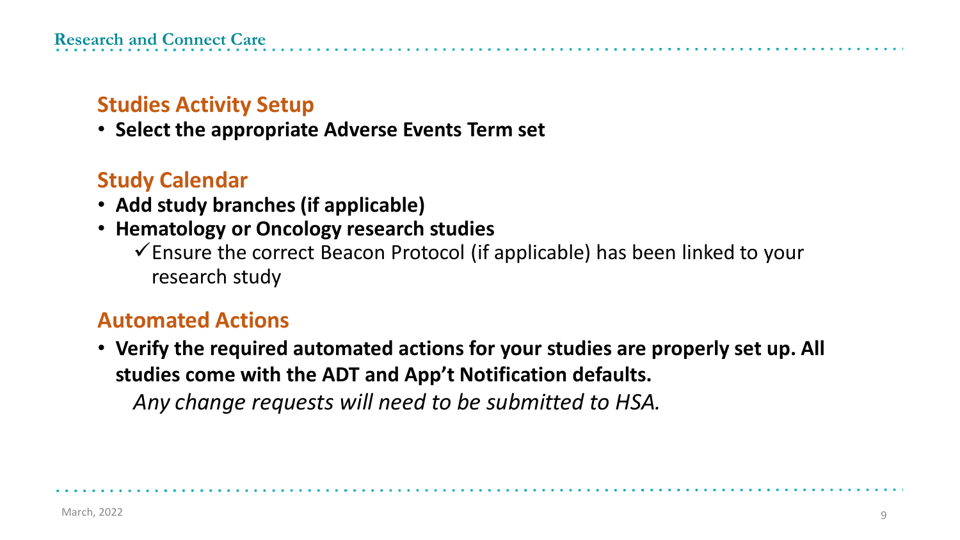### **Studies Activity Setup**

• **Select the appropriate Adverse Events Term set**

### **Study Calendar**

- **Add study branches (if applicable)**
- **Hematology or Oncology research studies**
	- $\checkmark$  Ensure the correct Beacon Protocol (if applicable) has been linked to your research study

#### **Automated Actions**

• **Verify the required automated actions for your studies are properly set up. All studies come with the ADT and App't Notification defaults.**

*Any change requests will need to be submitted to HSA.*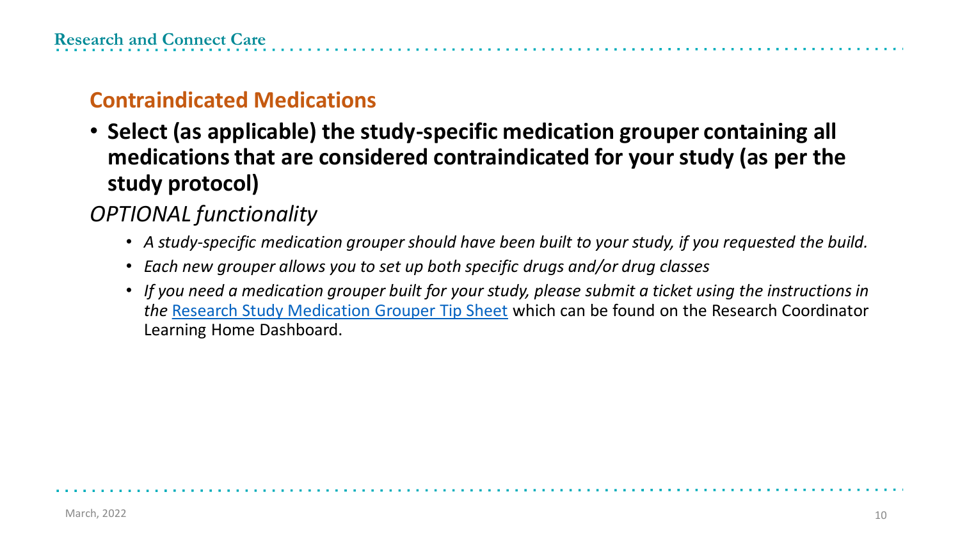#### **Contraindicated Medications**

• **Select (as applicable) the study-specific medication grouper containing all medications that are considered contraindicated for your study (as per the study protocol)**

#### *OPTIONAL functionality*

- *A study-specific medication grouper should have been built to your study, if you requested the build.*
- *Each new grouper allows you to set up both specific drugs and/or drug classes*
- *If you need a medication grouper built for your study, please submit a ticket using the instructions in the* [Research Study Medication Grouper Tip Sheet](https://insite.albertahealthservices.ca/Main/assets/cistr/tms-cis-tr-research-study-medication-grouper-request.pdf) which can be found on the Research Coordinator Learning Home Dashboard.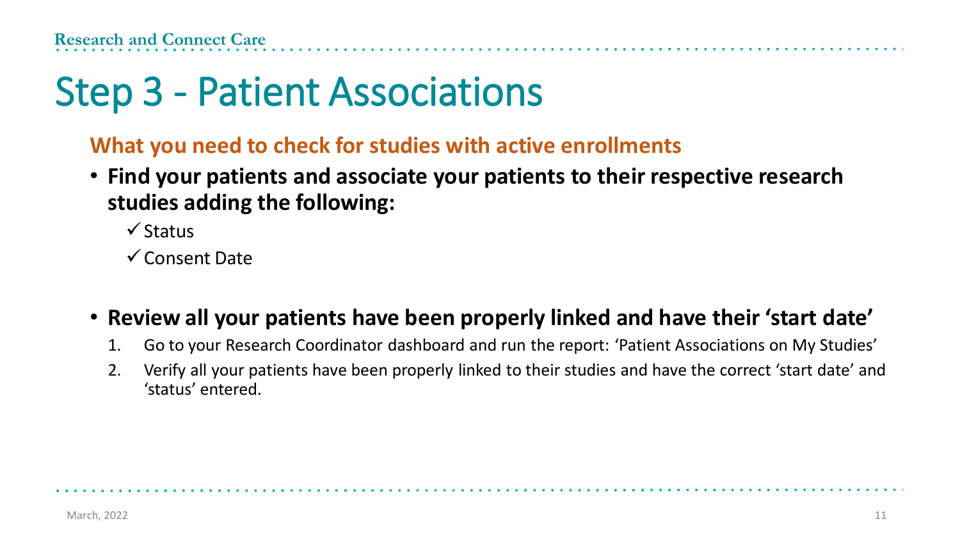# Step 3 - Patient Associations

#### **What you need to check for studies with active enrollments**

• **Find your patients and associate your patients to their respective research studies adding the following:**

✓Status

✓Consent Date

#### • **Review all your patients have been properly linked and have their 'start date'**

- 1. Go to your Research Coordinator dashboard and run the report: 'Patient Associations on My Studies'
- 2. Verify all your patients have been properly linked to their studies and have the correct 'start date' and 'status' entered.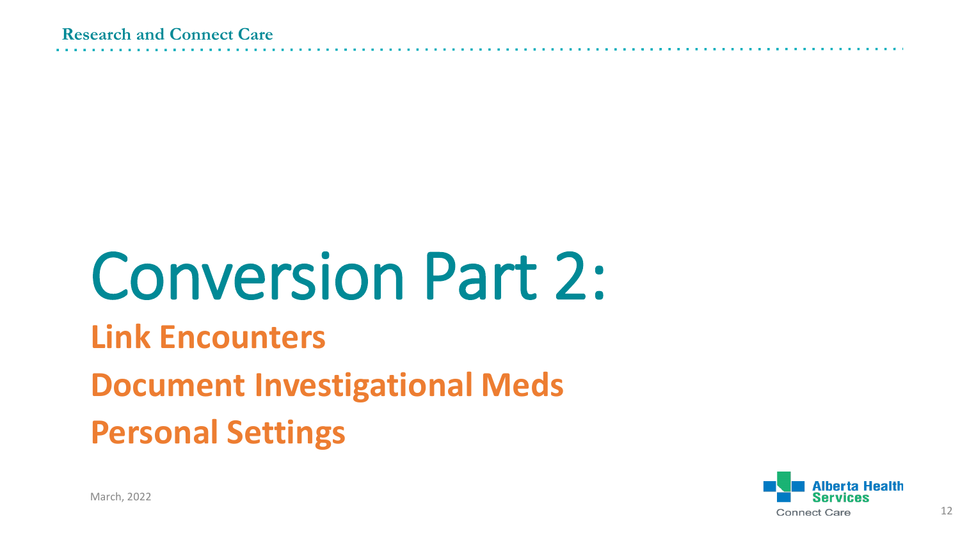# Conversion Part 2:

### **Link Encounters**

### **Document Investigational Meds**

**Personal Settings**

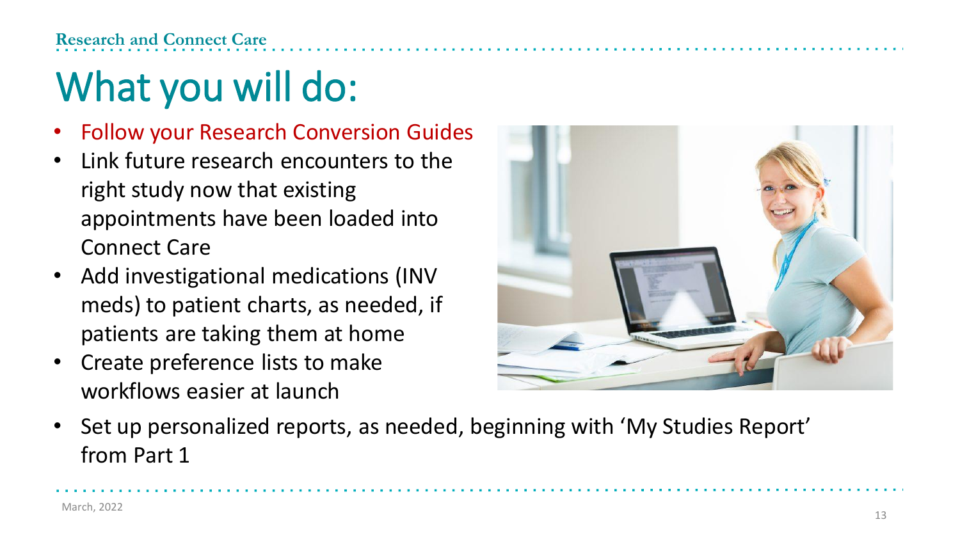#### **Research and Connect Care**

# What you will do:

- Follow your Research Conversion Guides
- Link future research encounters to the right study now that existing appointments have been loaded into Connect Care
- Add investigational medications (INV meds) to patient charts, as needed, if patients are taking them at home
- Create preference lists to make workflows easier at launch



• Set up personalized reports, as needed, beginning with 'My Studies Report' from Part 1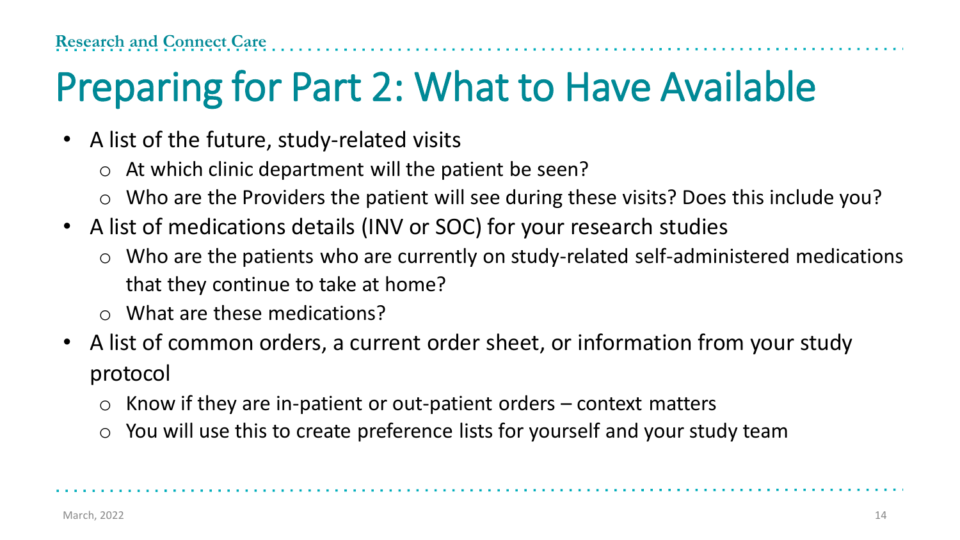# Preparing for Part 2: What to Have Available

- A list of the future, study-related visits
	- $\circ$  At which clinic department will the patient be seen?
	- o Who are the Providers the patient will see during these visits? Does this include you?
- A list of medications details (INV or SOC) for your research studies
	- o Who are the patients who are currently on study-related self-administered medications that they continue to take at home?
	- o What are these medications?
- A list of common orders, a current order sheet, or information from your study protocol
	- $\circ$  Know if they are in-patient or out-patient orders context matters
	- o You will use this to create preference lists for yourself and your study team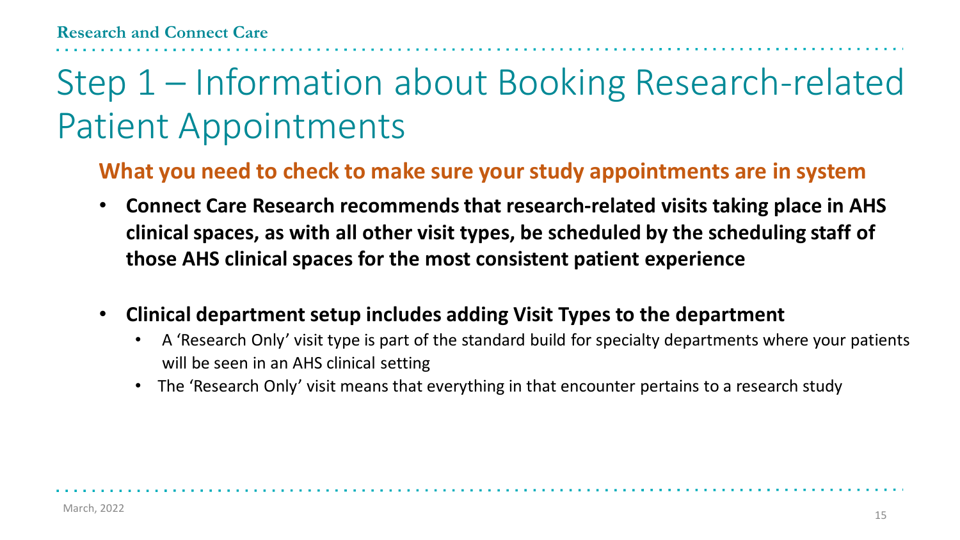## Step 1 – Information about Booking Research-related Patient Appointments

#### **What you need to check to make sure your study appointments are in system**

- **Connect Care Research recommends that research-related visits taking place in AHS clinical spaces, as with all other visit types, be scheduled by the scheduling staff of those AHS clinical spaces for the most consistent patient experience**
- **Clinical department setup includes adding Visit Types to the department** 
	- A 'Research Only' visit type is part of the standard build for specialty departments where your patients will be seen in an AHS clinical setting
	- The 'Research Only' visit means that everything in that encounter pertains to a research study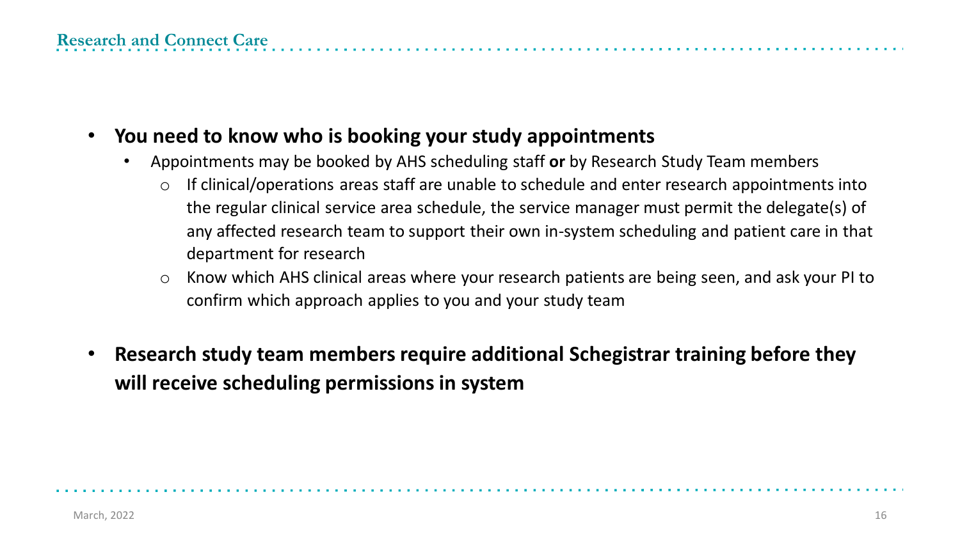- **You need to know who is booking your study appointments**
	- Appointments may be booked by AHS scheduling staff **or** by Research Study Team members
		- o If clinical/operations areas staff are unable to schedule and enter research appointments into the regular clinical service area schedule, the service manager must permit the delegate(s) of any affected research team to support their own in-system scheduling and patient care in that department for research
		- o Know which AHS clinical areas where your research patients are being seen, and ask your PI to confirm which approach applies to you and your study team
- **Research study team members require additional Schegistrar training before they will receive scheduling permissions in system**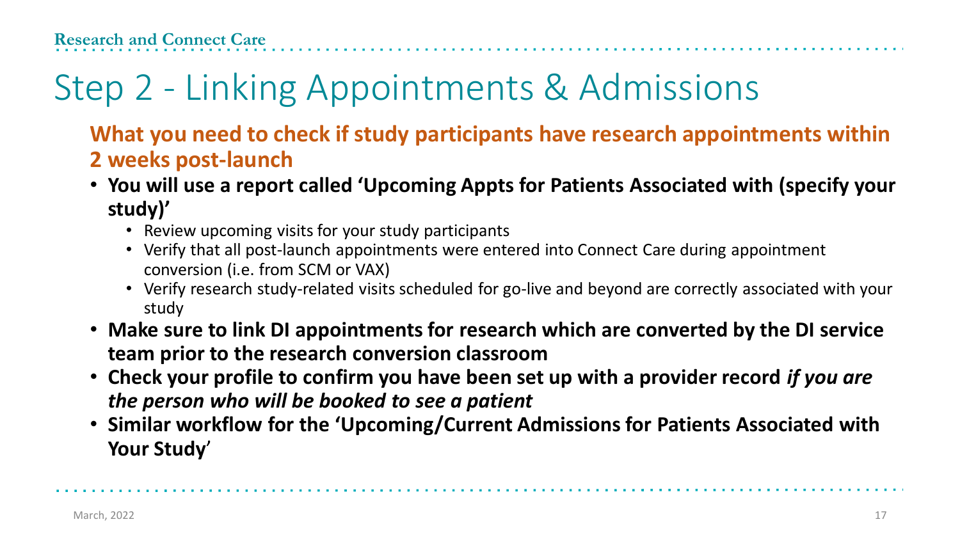# Step 2 - Linking Appointments & Admissions

#### **What you need to check if study participants have research appointments within 2 weeks post-launch**

- **You will use a report called 'Upcoming Appts for Patients Associated with (specify your study)'**
	- Review upcoming visits for your study participants
	- Verify that all post-launch appointments were entered into Connect Care during appointment conversion (i.e. from SCM or VAX)
	- Verify research study-related visits scheduled for go-live and beyond are correctly associated with your study
- **Make sure to link DI appointments for research which are converted by the DI service team prior to the research conversion classroom**
- **Check your profile to confirm you have been set up with a provider record** *if you are the person who will be booked to see a patient*
- **Similar workflow for the 'Upcoming/Current Admissions for Patients Associated with Your Study**'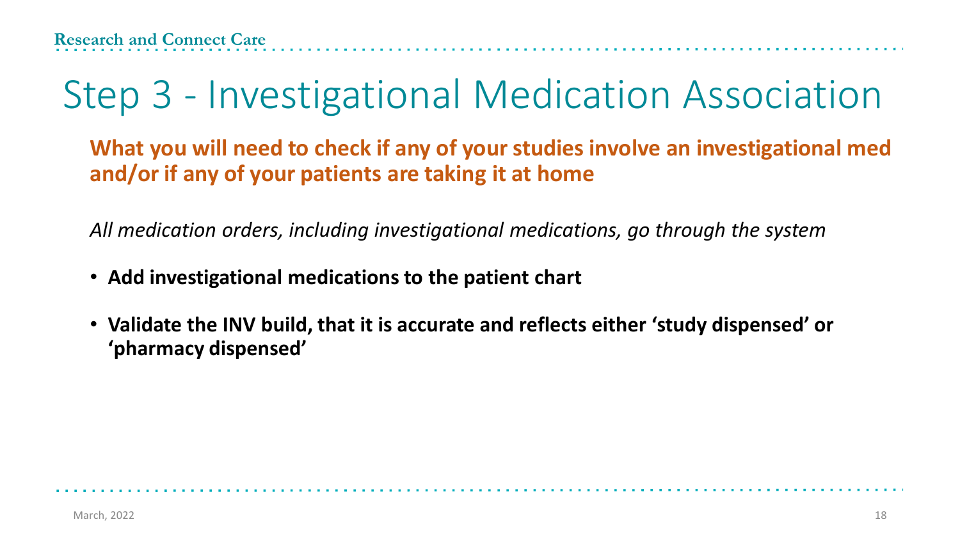# Step 3 - Investigational Medication Association

**What you will need to check if any of your studies involve an investigational med and/or if any of your patients are taking it at home**

*All medication orders, including investigational medications, go through the system* 

- **Add investigational medications to the patient chart**
- **Validate the INV build, that it is accurate and reflects either 'study dispensed' or 'pharmacy dispensed'**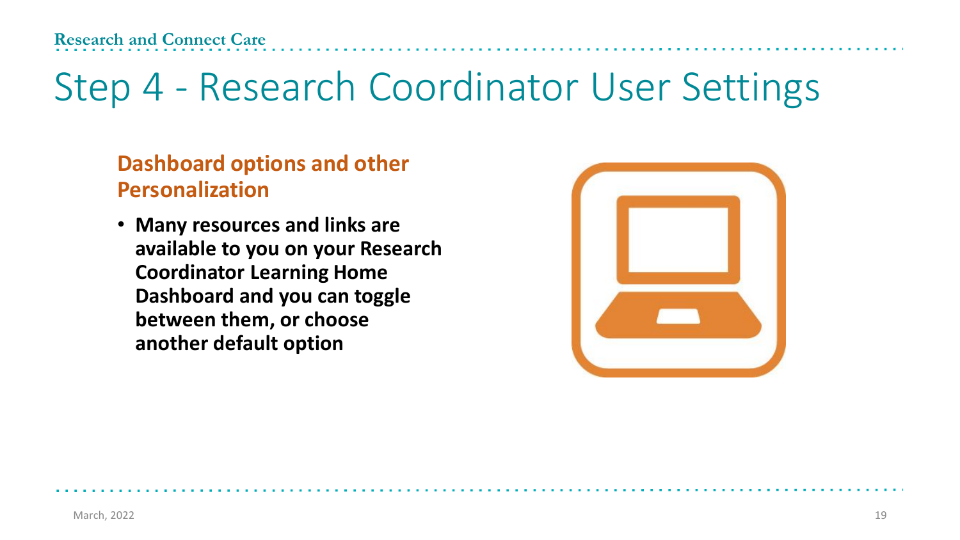# Step 4 - Research Coordinator User Settings

#### **Dashboard options and other Personalization**

• **Many resources and links are available to you on your Research Coordinator Learning Home Dashboard and you can toggle between them, or choose another default option**

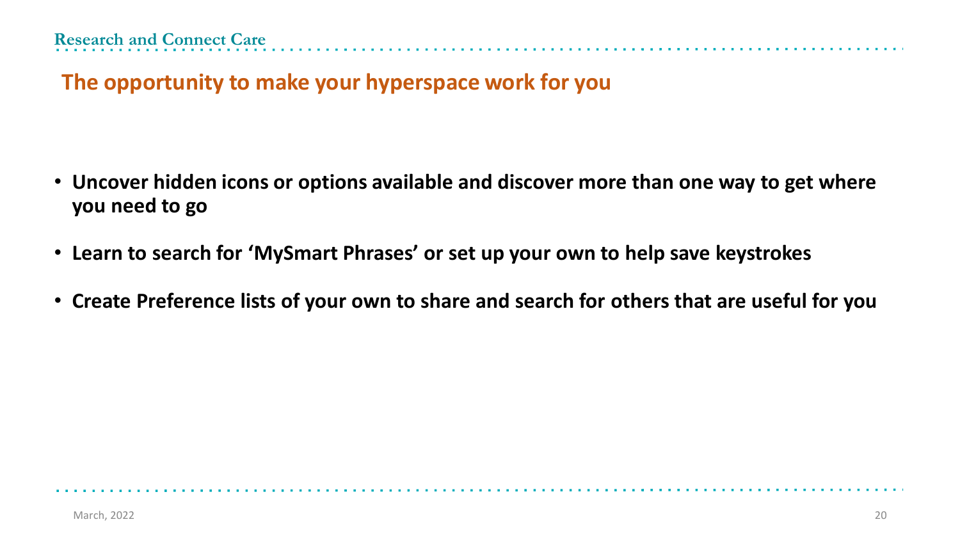**The opportunity to make your hyperspace work for you**

- **Uncover hidden icons or options available and discover more than one way to get where you need to go**
- **Learn to search for 'MySmart Phrases' or set up your own to help save keystrokes**
- **Create Preference lists of your own to share and search for others that are useful for you**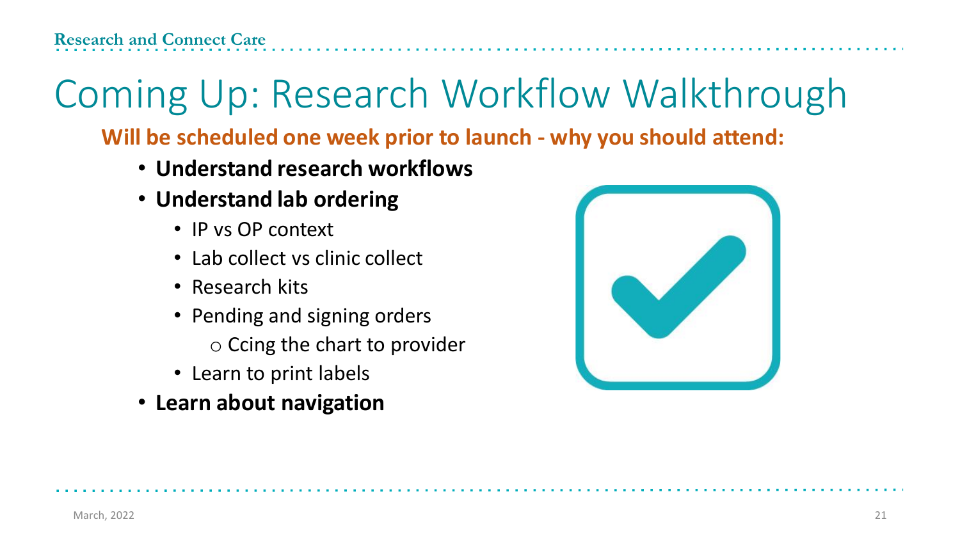# Coming Up: Research Workflow Walkthrough

**Will be scheduled one week prior to launch - why you should attend:**

- **Understand research workflows**
- **Understand lab ordering**
	- IP vs OP context
	- Lab collect vs clinic collect
	- Research kits
	- Pending and signing orders
		- o Ccing the chart to provider
	- Learn to print labels
- **Learn about navigation**

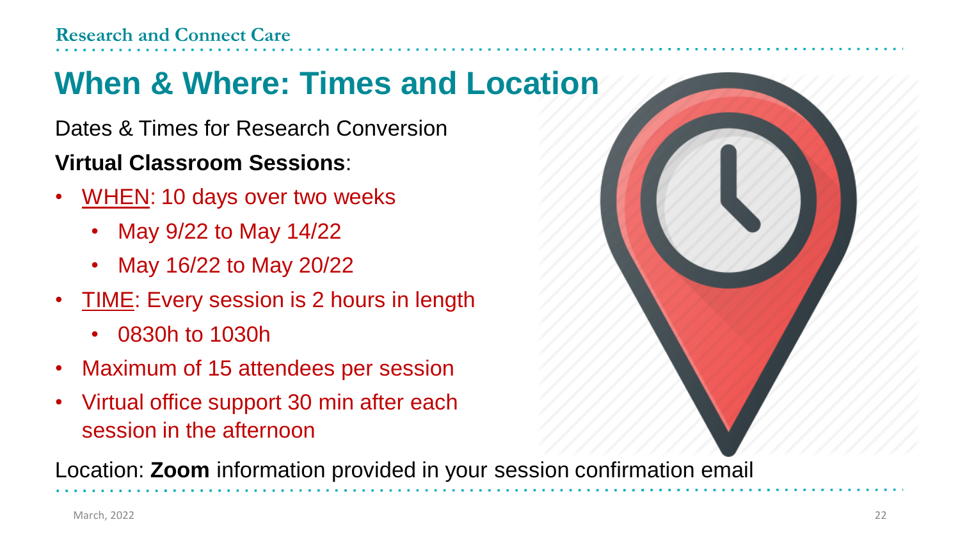### **When & Where: Times and Location**

Dates & Times for Research Conversion

### **Virtual Classroom Sessions**:

- WHEN: 10 days over two weeks
	- May 9/22 to May 14/22
	- May 16/22 to May 20/22
- TIME: Every session is 2 hours in length
	- 0830h to 1030h
- Maximum of 15 attendees per session
- Virtual office support 30 min after each session in the afternoon

Location: **Zoom** information provided in your session confirmation email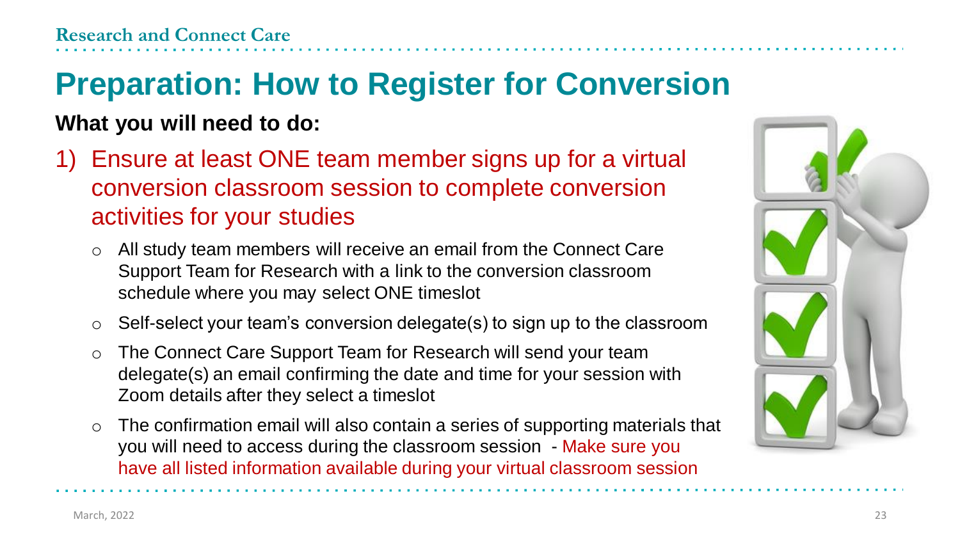## **Preparation: How to Register for Conversion**

### **What you will need to do:**

- 1) Ensure at least ONE team member signs up for a virtual conversion classroom session to complete conversion activities for your studies
	- o All study team members will receive an email from the Connect Care Support Team for Research with a link to the conversion classroom schedule where you may select ONE timeslot
	- o Self-select your team's conversion delegate(s) to sign up to the classroom
	- o The Connect Care Support Team for Research will send your team delegate(s) an email confirming the date and time for your session with Zoom details after they select a timeslot
	- $\circ$  The confirmation email will also contain a series of supporting materials that you will need to access during the classroom session - Make sure you have all listed information available during your virtual classroom session

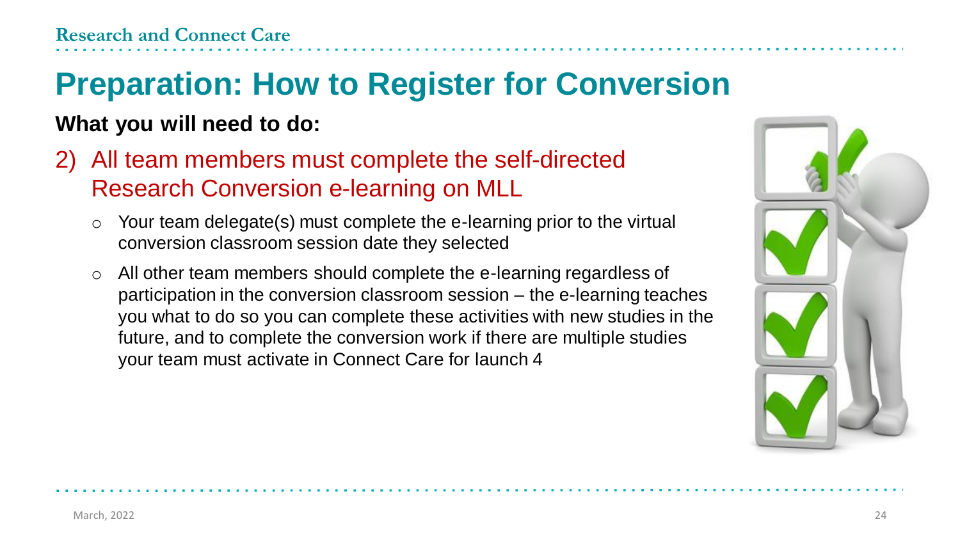## **Preparation: How to Register for Conversion**

### **What you will need to do:**

- 2) All team members must complete the self-directed Research Conversion e-learning on MLL
	- o Your team delegate(s) must complete the e-learning prior to the virtual conversion classroom session date they selected
	- o All other team members should complete the e-learning regardless of participation in the conversion classroom session – the e-learning teaches you what to do so you can complete these activities with new studies in the future, and to complete the conversion work if there are multiple studies your team must activate in Connect Care for launch 4

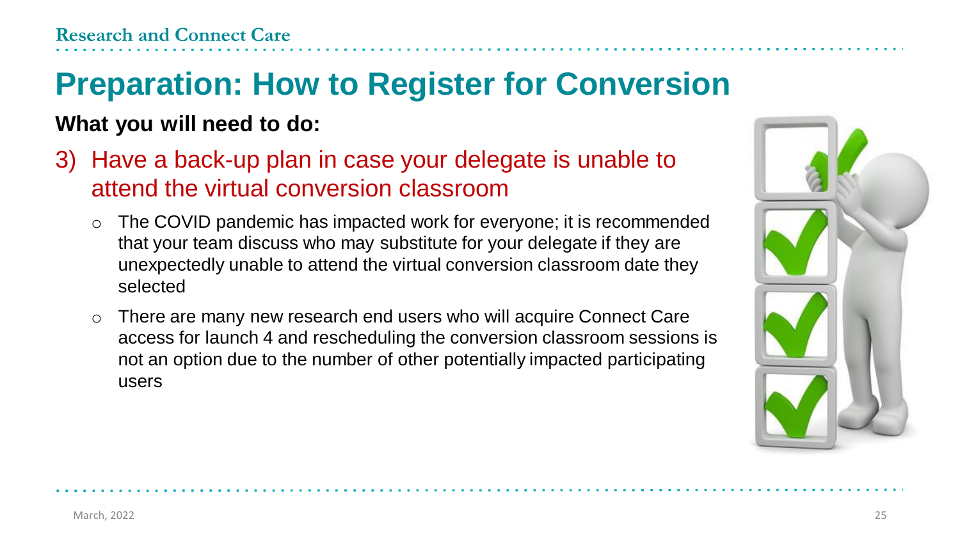## **Preparation: How to Register for Conversion**

#### **What you will need to do:**

- 3) Have a back-up plan in case your delegate is unable to attend the virtual conversion classroom
	- o The COVID pandemic has impacted work for everyone; it is recommended that your team discuss who may substitute for your delegate if they are unexpectedly unable to attend the virtual conversion classroom date they selected
	- o There are many new research end users who will acquire Connect Care access for launch 4 and rescheduling the conversion classroom sessions is not an option due to the number of other potentially impacted participating users

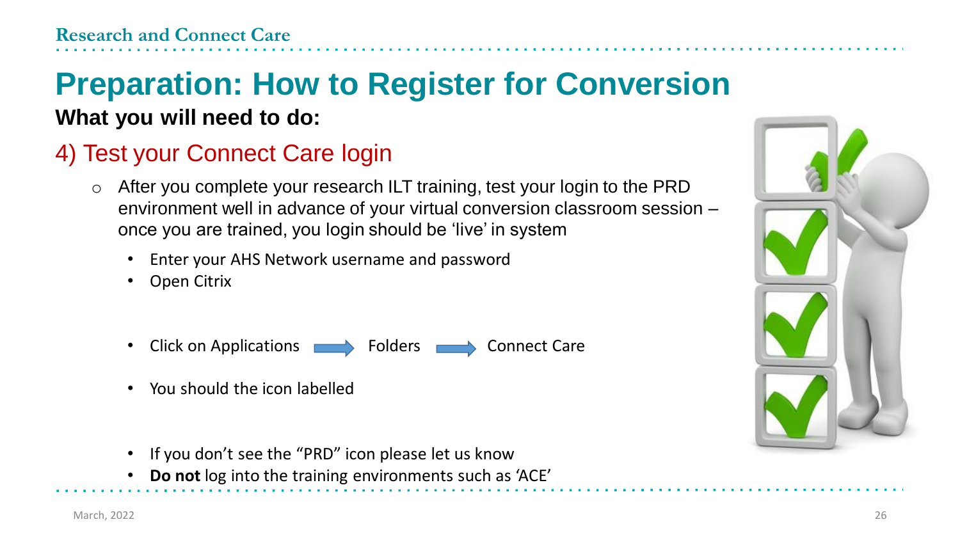### **Preparation: How to Register for Conversion What you will need to do:**

### 4) Test your Connect Care login

- After you complete your research ILT training, test your login to the PRD environment well in advance of your virtual conversion classroom session – once you are trained, you login should be 'live' in system
	- Enter your AHS Network username and password
	- Open Citrix
	- Click on Applications **Folders** Folders **Connect Care**
	- You should the icon labelled
	- If you don't see the "PRD" icon please let us know
	- **Do not** log into the training environments such as 'ACE'

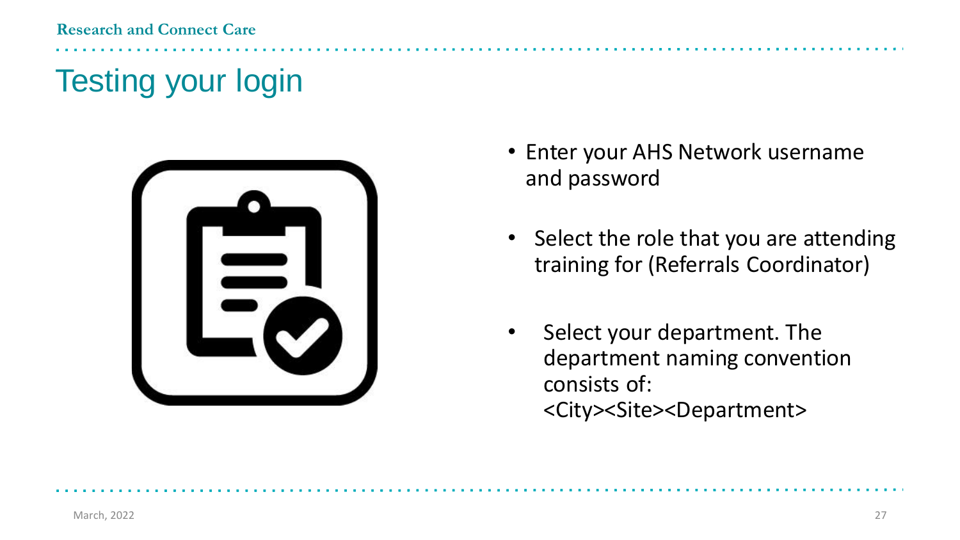**Research and Connect Care**

## Testing your login



- Enter your AHS Network username and password
- Select the role that you are attending training for (Referrals Coordinator)
- Select your department. The department naming convention consists of: <City><Site><Department>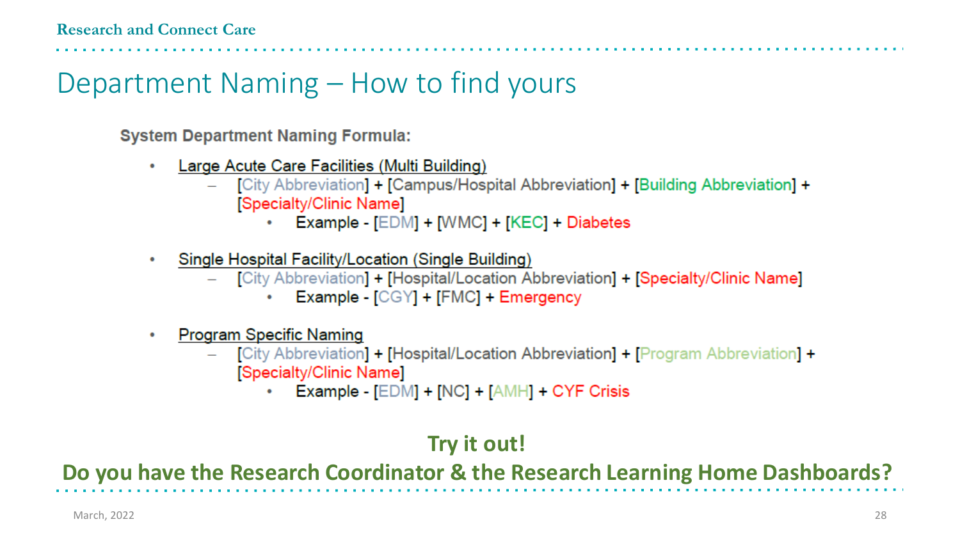### Department Naming – How to find yours

**System Department Naming Formula:** 

- Large Acute Care Facilities (Multi Building)
	- [City Abbreviation] + [Campus/Hospital Abbreviation] + [Building Abbreviation] + [Specialty/Clinic Name]
		- Example [EDM] + [WMC] + [KEC] + Diabetes
- Single Hospital Facility/Location (Single Building)  $\bullet$ 
	- [City Abbreviation] + [Hospital/Location Abbreviation] + [Specialty/Clinic Name]
		- **Example [CGY] + [FMC] + Emergency**
- **Program Specific Naming** 
	- [City Abbreviation] + [Hospital/Location Abbreviation] + [Program Abbreviation] + [Specialty/Clinic Name]
		- Example  $[EDM] + [NC] + [AMH] + CYF$  Crisis

### **Try it out!**

**Do you have the Research Coordinator & the Research Learning Home Dashboards?**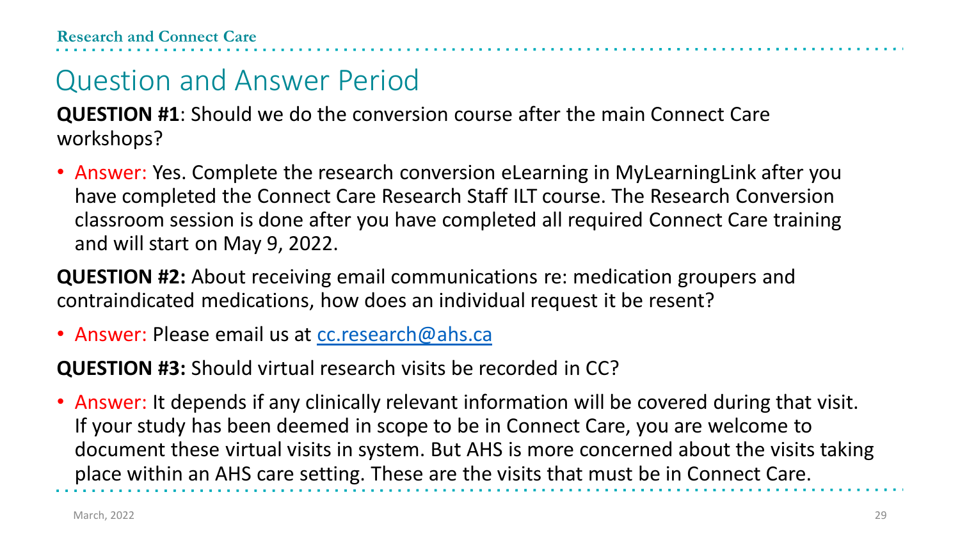**QUESTION #1**: Should we do the conversion course after the main Connect Care workshops?

• Answer: Yes. Complete the research conversion eLearning in MyLearningLink after you have completed the Connect Care Research Staff ILT course. The Research Conversion classroom session is done after you have completed all required Connect Care training and will start on May 9, 2022.

**QUESTION #2:** About receiving email communications re: medication groupers and contraindicated medications, how does an individual request it be resent?

• Answer: Please email us at corresearch@ahs.ca

**QUESTION #3:** Should virtual research visits be recorded in CC?

• Answer: It depends if any clinically relevant information will be covered during that visit. If your study has been deemed in scope to be in Connect Care, you are welcome to document these virtual visits in system. But AHS is more concerned about the visits taking place within an AHS care setting. These are the visits that must be in Connect Care.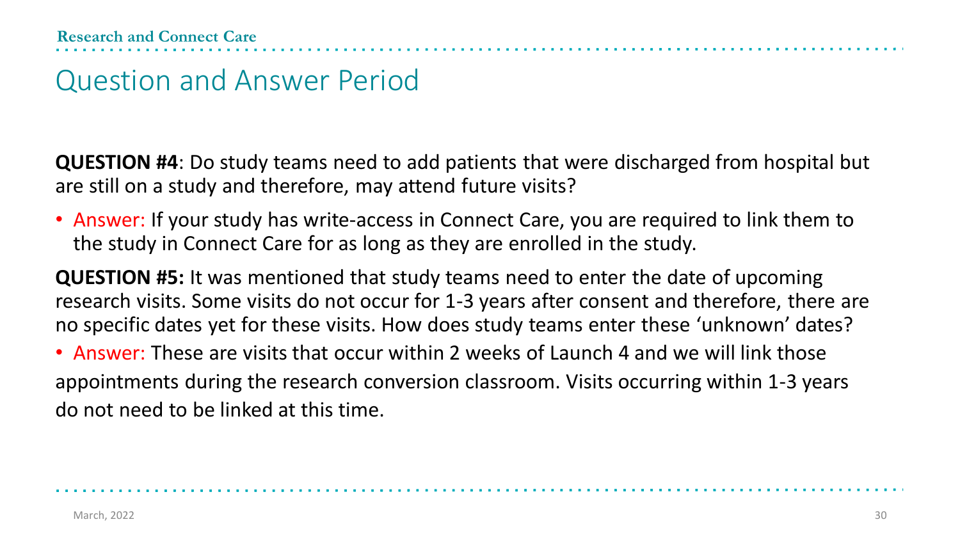**QUESTION #4**: Do study teams need to add patients that were discharged from hospital but are still on a study and therefore, may attend future visits?

• Answer: If your study has write-access in Connect Care, you are required to link them to the study in Connect Care for as long as they are enrolled in the study.

**QUESTION #5:** It was mentioned that study teams need to enter the date of upcoming research visits. Some visits do not occur for 1-3 years after consent and therefore, there are no specific dates yet for these visits. How does study teams enter these 'unknown' dates?

• Answer: These are visits that occur within 2 weeks of Launch 4 and we will link those appointments during the research conversion classroom. Visits occurring within 1-3 years do not need to be linked at this time.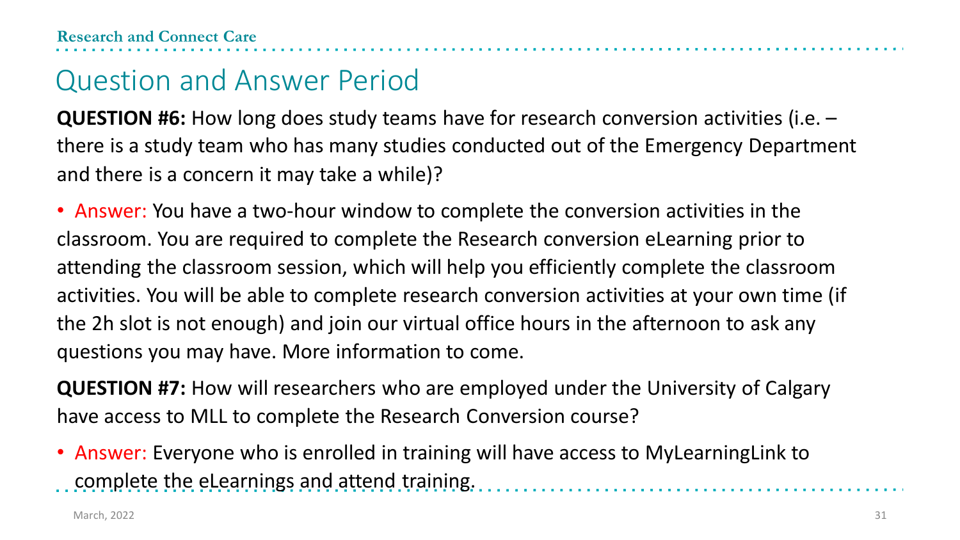**QUESTION #6:** How long does study teams have for research conversion activities (i.e. – there is a study team who has many studies conducted out of the Emergency Department and there is a concern it may take a while)?

• Answer: You have a two-hour window to complete the conversion activities in the classroom. You are required to complete the Research conversion eLearning prior to attending the classroom session, which will help you efficiently complete the classroom activities. You will be able to complete research conversion activities at your own time (if the 2h slot is not enough) and join our virtual office hours in the afternoon to ask any questions you may have. More information to come.

**QUESTION #7:** How will researchers who are employed under the University of Calgary have access to MLL to complete the Research Conversion course?

• Answer: Everyone who is enrolled in training will have access to MyLearningLink to complete the eLearnings and attend training.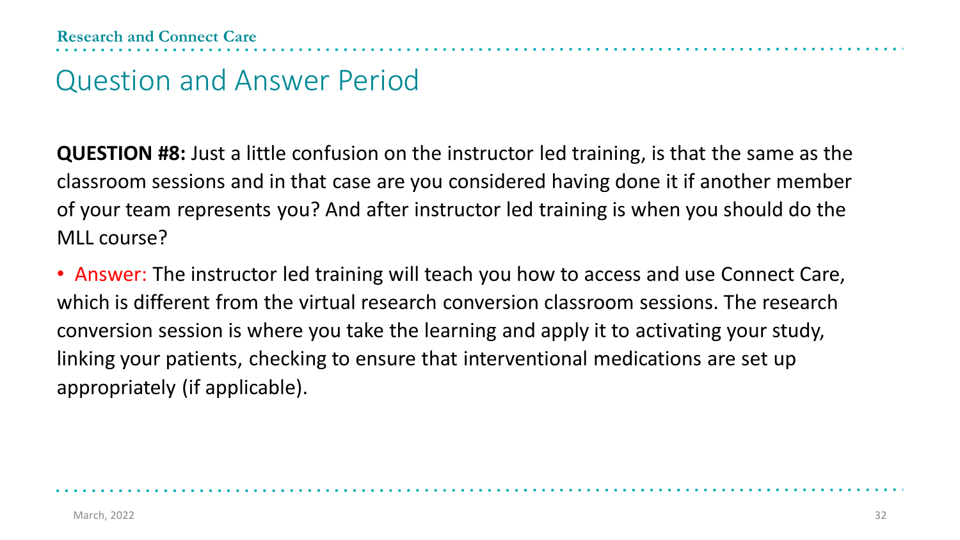**QUESTION #8:** Just a little confusion on the instructor led training, is that the same as the classroom sessions and in that case are you considered having done it if another member of your team represents you? And after instructor led training is when you should do the MLL course?

• Answer: The instructor led training will teach you how to access and use Connect Care, which is different from the virtual research conversion classroom sessions. The research conversion session is where you take the learning and apply it to activating your study, linking your patients, checking to ensure that interventional medications are set up appropriately (if applicable).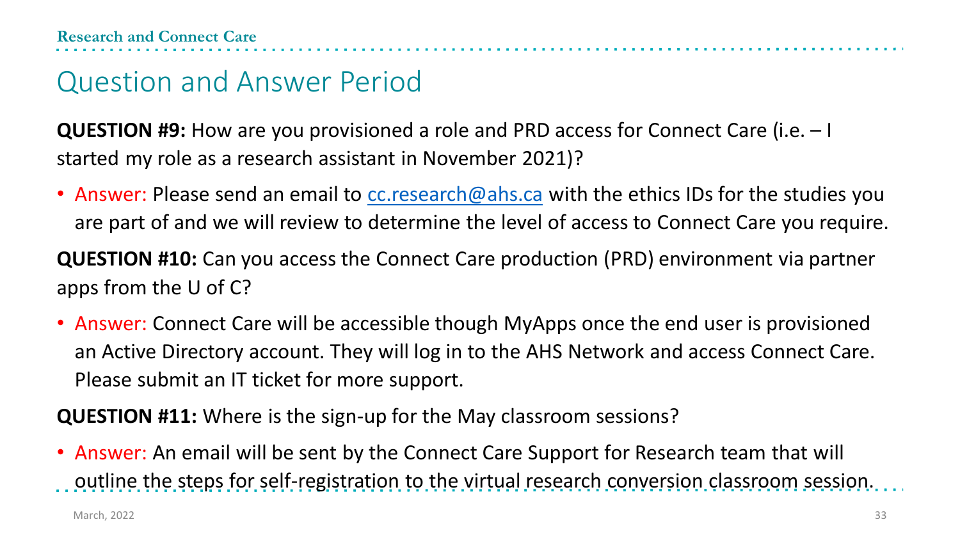**QUESTION #9:** How are you provisioned a role and PRD access for Connect Care (i.e. – I started my role as a research assistant in November 2021)?

• Answer: Please send an email to  $cc$  research  $@$  ahs.ca with the ethics IDs for the studies you are part of and we will review to determine the level of access to Connect Care you require.

**QUESTION #10:** Can you access the Connect Care production (PRD) environment via partner apps from the U of C?

• Answer: Connect Care will be accessible though MyApps once the end user is provisioned an Active Directory account. They will log in to the AHS Network and access Connect Care. Please submit an IT ticket for more support.

**QUESTION #11:** Where is the sign-up for the May classroom sessions?

• Answer: An email will be sent by the Connect Care Support for Research team that will outline the steps for self-registration to the virtual research conversion classroom session.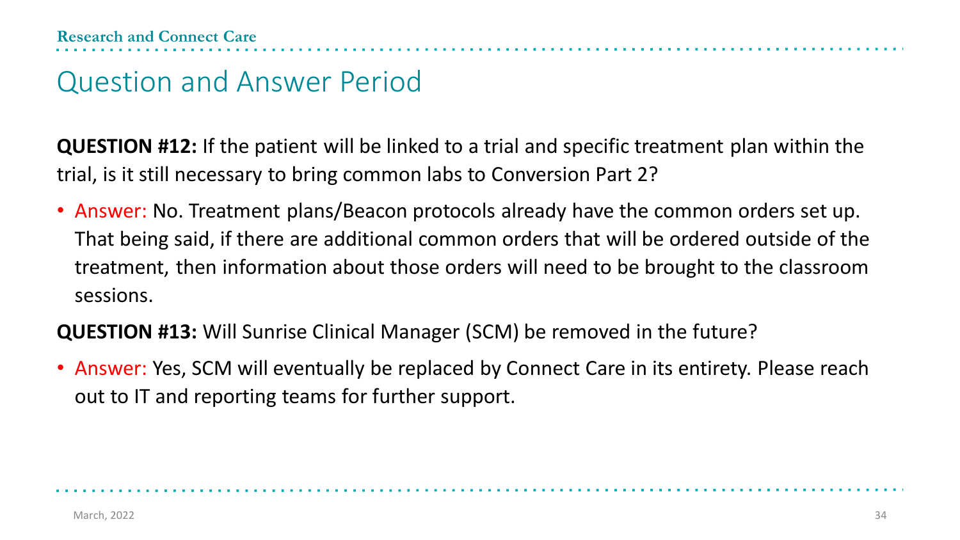**QUESTION #12:** If the patient will be linked to a trial and specific treatment plan within the trial, is it still necessary to bring common labs to Conversion Part 2?

• Answer: No. Treatment plans/Beacon protocols already have the common orders set up. That being said, if there are additional common orders that will be ordered outside of the treatment, then information about those orders will need to be brought to the classroom sessions.

**QUESTION #13:** Will Sunrise Clinical Manager (SCM) be removed in the future?

• Answer: Yes, SCM will eventually be replaced by Connect Care in its entirety. Please reach out to IT and reporting teams for further support.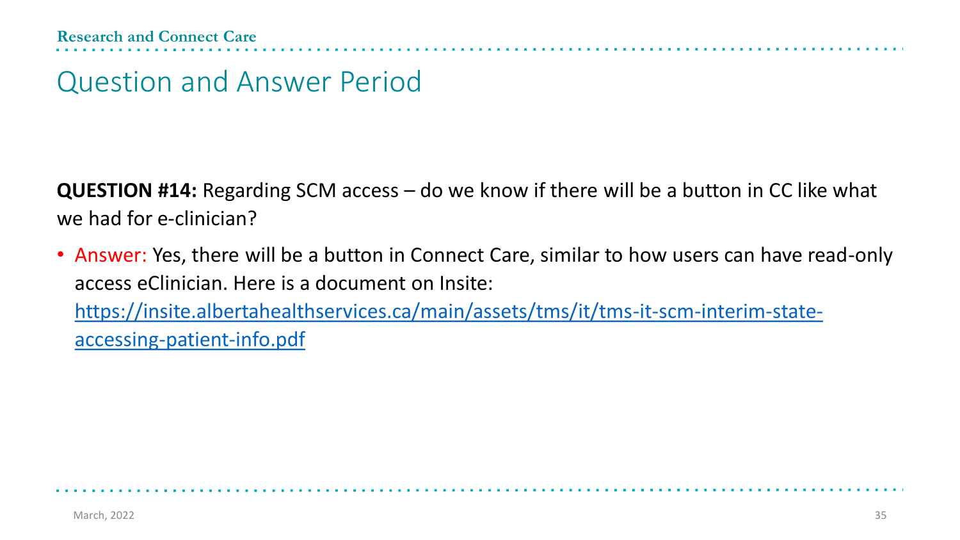**QUESTION #14:** Regarding SCM access – do we know if there will be a button in CC like what we had for e-clinician?

• Answer: Yes, there will be a button in Connect Care, similar to how users can have read-only access eClinician. Here is a document on Insite: [https://insite.albertahealthservices.ca/main/assets/tms/it/tms-it-scm-interim-state](https://insite.albertahealthservices.ca/main/assets/tms/it/tms-it-scm-interim-state-accessing-patient-info.pdf)accessing-patient-info.pdf